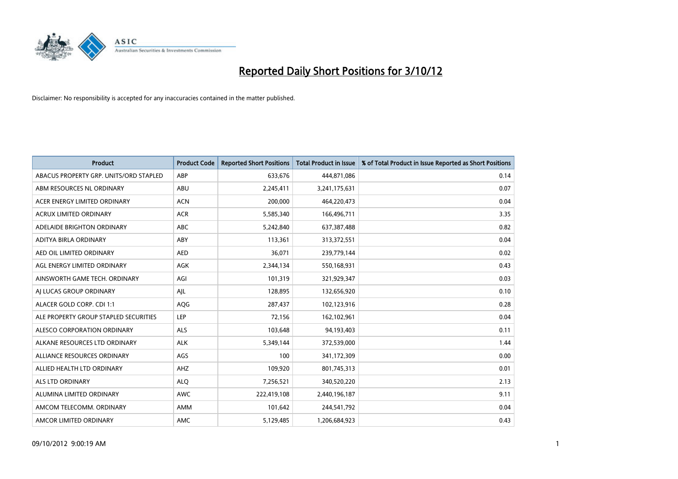

| <b>Product</b>                         | <b>Product Code</b> | <b>Reported Short Positions</b> | <b>Total Product in Issue</b> | % of Total Product in Issue Reported as Short Positions |
|----------------------------------------|---------------------|---------------------------------|-------------------------------|---------------------------------------------------------|
| ABACUS PROPERTY GRP. UNITS/ORD STAPLED | ABP                 | 633,676                         | 444,871,086                   | 0.14                                                    |
| ABM RESOURCES NL ORDINARY              | ABU                 | 2,245,411                       | 3,241,175,631                 | 0.07                                                    |
| ACER ENERGY LIMITED ORDINARY           | <b>ACN</b>          | 200,000                         | 464,220,473                   | 0.04                                                    |
| ACRUX LIMITED ORDINARY                 | <b>ACR</b>          | 5,585,340                       | 166,496,711                   | 3.35                                                    |
| ADELAIDE BRIGHTON ORDINARY             | <b>ABC</b>          | 5,242,840                       | 637, 387, 488                 | 0.82                                                    |
| ADITYA BIRLA ORDINARY                  | ABY                 | 113,361                         | 313,372,551                   | 0.04                                                    |
| AED OIL LIMITED ORDINARY               | <b>AED</b>          | 36,071                          | 239,779,144                   | 0.02                                                    |
| AGL ENERGY LIMITED ORDINARY            | <b>AGK</b>          | 2,344,134                       | 550,168,931                   | 0.43                                                    |
| AINSWORTH GAME TECH. ORDINARY          | AGI                 | 101,319                         | 321,929,347                   | 0.03                                                    |
| AI LUCAS GROUP ORDINARY                | AJL                 | 128,895                         | 132,656,920                   | 0.10                                                    |
| ALACER GOLD CORP. CDI 1:1              | AQG                 | 287,437                         | 102,123,916                   | 0.28                                                    |
| ALE PROPERTY GROUP STAPLED SECURITIES  | LEP                 | 72,156                          | 162,102,961                   | 0.04                                                    |
| ALESCO CORPORATION ORDINARY            | <b>ALS</b>          | 103,648                         | 94,193,403                    | 0.11                                                    |
| ALKANE RESOURCES LTD ORDINARY          | <b>ALK</b>          | 5,349,144                       | 372,539,000                   | 1.44                                                    |
| ALLIANCE RESOURCES ORDINARY            | AGS                 | 100                             | 341,172,309                   | 0.00                                                    |
| ALLIED HEALTH LTD ORDINARY             | AHZ                 | 109,920                         | 801,745,313                   | 0.01                                                    |
| <b>ALS LTD ORDINARY</b>                | <b>ALO</b>          | 7,256,521                       | 340,520,220                   | 2.13                                                    |
| ALUMINA LIMITED ORDINARY               | <b>AWC</b>          | 222,419,108                     | 2,440,196,187                 | 9.11                                                    |
| AMCOM TELECOMM, ORDINARY               | <b>AMM</b>          | 101,642                         | 244,541,792                   | 0.04                                                    |
| AMCOR LIMITED ORDINARY                 | <b>AMC</b>          | 5,129,485                       | 1,206,684,923                 | 0.43                                                    |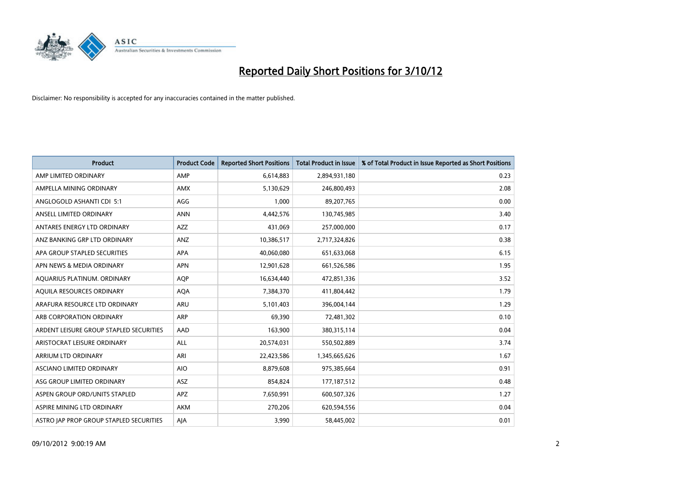

| <b>Product</b>                          | <b>Product Code</b> | <b>Reported Short Positions</b> | <b>Total Product in Issue</b> | % of Total Product in Issue Reported as Short Positions |
|-----------------------------------------|---------------------|---------------------------------|-------------------------------|---------------------------------------------------------|
| AMP LIMITED ORDINARY                    | AMP                 | 6,614,883                       | 2,894,931,180                 | 0.23                                                    |
| AMPELLA MINING ORDINARY                 | <b>AMX</b>          | 5,130,629                       | 246,800,493                   | 2.08                                                    |
| ANGLOGOLD ASHANTI CDI 5:1               | AGG                 | 1,000                           | 89,207,765                    | 0.00                                                    |
| ANSELL LIMITED ORDINARY                 | <b>ANN</b>          | 4,442,576                       | 130,745,985                   | 3.40                                                    |
| ANTARES ENERGY LTD ORDINARY             | <b>AZZ</b>          | 431,069                         | 257,000,000                   | 0.17                                                    |
| ANZ BANKING GRP LTD ORDINARY            | ANZ                 | 10,386,517                      | 2,717,324,826                 | 0.38                                                    |
| APA GROUP STAPLED SECURITIES            | <b>APA</b>          | 40,060,080                      | 651,633,068                   | 6.15                                                    |
| APN NEWS & MEDIA ORDINARY               | <b>APN</b>          | 12,901,628                      | 661,526,586                   | 1.95                                                    |
| AQUARIUS PLATINUM. ORDINARY             | <b>AOP</b>          | 16,634,440                      | 472,851,336                   | 3.52                                                    |
| AQUILA RESOURCES ORDINARY               | <b>AQA</b>          | 7,384,370                       | 411,804,442                   | 1.79                                                    |
| ARAFURA RESOURCE LTD ORDINARY           | <b>ARU</b>          | 5,101,403                       | 396,004,144                   | 1.29                                                    |
| ARB CORPORATION ORDINARY                | <b>ARP</b>          | 69,390                          | 72,481,302                    | 0.10                                                    |
| ARDENT LEISURE GROUP STAPLED SECURITIES | AAD                 | 163,900                         | 380,315,114                   | 0.04                                                    |
| ARISTOCRAT LEISURE ORDINARY             | ALL                 | 20,574,031                      | 550,502,889                   | 3.74                                                    |
| ARRIUM LTD ORDINARY                     | ARI                 | 22,423,586                      | 1,345,665,626                 | 1.67                                                    |
| ASCIANO LIMITED ORDINARY                | <b>AIO</b>          | 8,879,608                       | 975,385,664                   | 0.91                                                    |
| ASG GROUP LIMITED ORDINARY              | <b>ASZ</b>          | 854,824                         | 177, 187, 512                 | 0.48                                                    |
| ASPEN GROUP ORD/UNITS STAPLED           | <b>APZ</b>          | 7,650,991                       | 600,507,326                   | 1.27                                                    |
| ASPIRE MINING LTD ORDINARY              | <b>AKM</b>          | 270,206                         | 620,594,556                   | 0.04                                                    |
| ASTRO JAP PROP GROUP STAPLED SECURITIES | AJA                 | 3,990                           | 58,445,002                    | 0.01                                                    |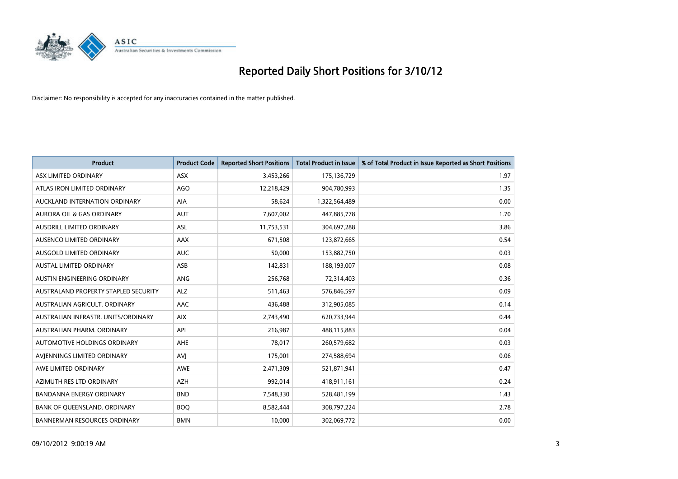

| <b>Product</b>                       | <b>Product Code</b> | <b>Reported Short Positions</b> | <b>Total Product in Issue</b> | % of Total Product in Issue Reported as Short Positions |
|--------------------------------------|---------------------|---------------------------------|-------------------------------|---------------------------------------------------------|
| ASX LIMITED ORDINARY                 | ASX                 | 3,453,266                       | 175,136,729                   | 1.97                                                    |
| ATLAS IRON LIMITED ORDINARY          | AGO                 | 12,218,429                      | 904,780,993                   | 1.35                                                    |
| AUCKLAND INTERNATION ORDINARY        | <b>AIA</b>          | 58,624                          | 1,322,564,489                 | 0.00                                                    |
| AURORA OIL & GAS ORDINARY            | <b>AUT</b>          | 7,607,002                       | 447,885,778                   | 1.70                                                    |
| AUSDRILL LIMITED ORDINARY            | <b>ASL</b>          | 11,753,531                      | 304,697,288                   | 3.86                                                    |
| AUSENCO LIMITED ORDINARY             | AAX                 | 671,508                         | 123,872,665                   | 0.54                                                    |
| AUSGOLD LIMITED ORDINARY             | <b>AUC</b>          | 50.000                          | 153,882,750                   | 0.03                                                    |
| <b>AUSTAL LIMITED ORDINARY</b>       | ASB                 | 142,831                         | 188,193,007                   | 0.08                                                    |
| AUSTIN ENGINEERING ORDINARY          | <b>ANG</b>          | 256,768                         | 72,314,403                    | 0.36                                                    |
| AUSTRALAND PROPERTY STAPLED SECURITY | <b>ALZ</b>          | 511,463                         | 576,846,597                   | 0.09                                                    |
| AUSTRALIAN AGRICULT. ORDINARY        | <b>AAC</b>          | 436,488                         | 312,905,085                   | 0.14                                                    |
| AUSTRALIAN INFRASTR. UNITS/ORDINARY  | <b>AIX</b>          | 2,743,490                       | 620,733,944                   | 0.44                                                    |
| <b>AUSTRALIAN PHARM, ORDINARY</b>    | API                 | 216,987                         | 488,115,883                   | 0.04                                                    |
| AUTOMOTIVE HOLDINGS ORDINARY         | AHE                 | 78.017                          | 260,579,682                   | 0.03                                                    |
| AVJENNINGS LIMITED ORDINARY          | AVI                 | 175,001                         | 274,588,694                   | 0.06                                                    |
| AWE LIMITED ORDINARY                 | <b>AWE</b>          | 2,471,309                       | 521,871,941                   | 0.47                                                    |
| AZIMUTH RES LTD ORDINARY             | <b>AZH</b>          | 992,014                         | 418,911,161                   | 0.24                                                    |
| BANDANNA ENERGY ORDINARY             | <b>BND</b>          | 7,548,330                       | 528,481,199                   | 1.43                                                    |
| BANK OF OUEENSLAND, ORDINARY         | <b>BOQ</b>          | 8,582,444                       | 308,797,224                   | 2.78                                                    |
| <b>BANNERMAN RESOURCES ORDINARY</b>  | <b>BMN</b>          | 10.000                          | 302,069,772                   | 0.00                                                    |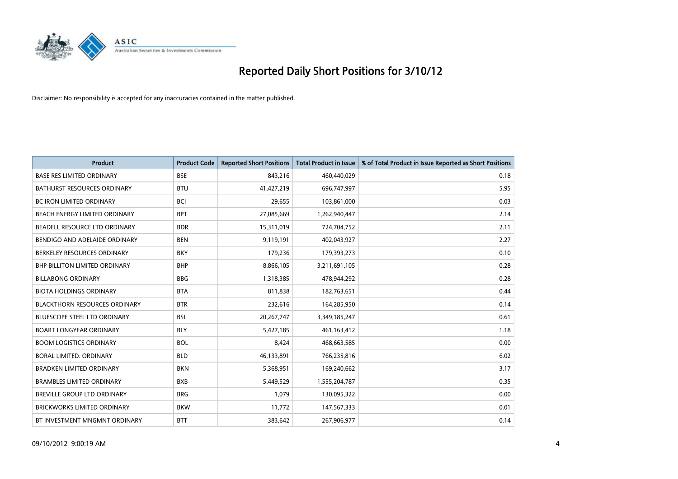

| <b>Product</b>                       | <b>Product Code</b> | <b>Reported Short Positions</b> | <b>Total Product in Issue</b> | % of Total Product in Issue Reported as Short Positions |
|--------------------------------------|---------------------|---------------------------------|-------------------------------|---------------------------------------------------------|
| <b>BASE RES LIMITED ORDINARY</b>     | <b>BSE</b>          | 843,216                         | 460,440,029                   | 0.18                                                    |
| <b>BATHURST RESOURCES ORDINARY</b>   | <b>BTU</b>          | 41,427,219                      | 696,747,997                   | 5.95                                                    |
| <b>BC IRON LIMITED ORDINARY</b>      | <b>BCI</b>          | 29,655                          | 103,861,000                   | 0.03                                                    |
| BEACH ENERGY LIMITED ORDINARY        | <b>BPT</b>          | 27,085,669                      | 1,262,940,447                 | 2.14                                                    |
| BEADELL RESOURCE LTD ORDINARY        | <b>BDR</b>          | 15,311,019                      | 724,704,752                   | 2.11                                                    |
| BENDIGO AND ADELAIDE ORDINARY        | <b>BEN</b>          | 9,119,191                       | 402,043,927                   | 2.27                                                    |
| BERKELEY RESOURCES ORDINARY          | <b>BKY</b>          | 179,236                         | 179,393,273                   | 0.10                                                    |
| <b>BHP BILLITON LIMITED ORDINARY</b> | <b>BHP</b>          | 8,866,105                       | 3,211,691,105                 | 0.28                                                    |
| <b>BILLABONG ORDINARY</b>            | <b>BBG</b>          | 1,318,385                       | 478,944,292                   | 0.28                                                    |
| <b>BIOTA HOLDINGS ORDINARY</b>       | <b>BTA</b>          | 811,838                         | 182,763,651                   | 0.44                                                    |
| <b>BLACKTHORN RESOURCES ORDINARY</b> | <b>BTR</b>          | 232,616                         | 164,285,950                   | 0.14                                                    |
| <b>BLUESCOPE STEEL LTD ORDINARY</b>  | <b>BSL</b>          | 20,267,747                      | 3,349,185,247                 | 0.61                                                    |
| <b>BOART LONGYEAR ORDINARY</b>       | <b>BLY</b>          | 5,427,185                       | 461,163,412                   | 1.18                                                    |
| <b>BOOM LOGISTICS ORDINARY</b>       | <b>BOL</b>          | 8,424                           | 468,663,585                   | 0.00                                                    |
| BORAL LIMITED, ORDINARY              | <b>BLD</b>          | 46,133,891                      | 766,235,816                   | 6.02                                                    |
| BRADKEN LIMITED ORDINARY             | <b>BKN</b>          | 5,368,951                       | 169,240,662                   | 3.17                                                    |
| <b>BRAMBLES LIMITED ORDINARY</b>     | <b>BXB</b>          | 5,449,529                       | 1,555,204,787                 | 0.35                                                    |
| BREVILLE GROUP LTD ORDINARY          | <b>BRG</b>          | 1,079                           | 130,095,322                   | 0.00                                                    |
| <b>BRICKWORKS LIMITED ORDINARY</b>   | <b>BKW</b>          | 11,772                          | 147,567,333                   | 0.01                                                    |
| BT INVESTMENT MNGMNT ORDINARY        | <b>BTT</b>          | 383,642                         | 267,906,977                   | 0.14                                                    |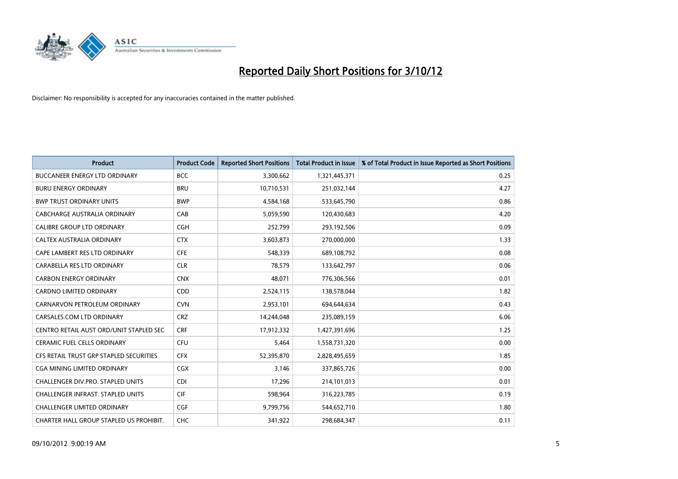

| <b>Product</b>                          | <b>Product Code</b> | <b>Reported Short Positions</b> | <b>Total Product in Issue</b> | % of Total Product in Issue Reported as Short Positions |
|-----------------------------------------|---------------------|---------------------------------|-------------------------------|---------------------------------------------------------|
| <b>BUCCANEER ENERGY LTD ORDINARY</b>    | <b>BCC</b>          | 3,300,662                       | 1,321,445,371                 | 0.25                                                    |
| <b>BURU ENERGY ORDINARY</b>             | <b>BRU</b>          | 10,710,531                      | 251,032,144                   | 4.27                                                    |
| <b>BWP TRUST ORDINARY UNITS</b>         | <b>BWP</b>          | 4,584,168                       | 533,645,790                   | 0.86                                                    |
| CABCHARGE AUSTRALIA ORDINARY            | CAB                 | 5,059,590                       | 120,430,683                   | 4.20                                                    |
| <b>CALIBRE GROUP LTD ORDINARY</b>       | <b>CGH</b>          | 252,799                         | 293,192,506                   | 0.09                                                    |
| CALTEX AUSTRALIA ORDINARY               | <b>CTX</b>          | 3,603,873                       | 270,000,000                   | 1.33                                                    |
| CAPE LAMBERT RES LTD ORDINARY           | <b>CFE</b>          | 548.339                         | 689,108,792                   | 0.08                                                    |
| CARABELLA RES LTD ORDINARY              | <b>CLR</b>          | 78,579                          | 133,642,797                   | 0.06                                                    |
| <b>CARBON ENERGY ORDINARY</b>           | <b>CNX</b>          | 48,071                          | 776,306,566                   | 0.01                                                    |
| <b>CARDNO LIMITED ORDINARY</b>          | CDD                 | 2,524,115                       | 138,578,044                   | 1.82                                                    |
| CARNARVON PETROLEUM ORDINARY            | <b>CVN</b>          | 2,953,101                       | 694,644,634                   | 0.43                                                    |
| CARSALES.COM LTD ORDINARY               | <b>CRZ</b>          | 14,244,048                      | 235,089,159                   | 6.06                                                    |
| CENTRO RETAIL AUST ORD/UNIT STAPLED SEC | <b>CRF</b>          | 17,912,332                      | 1,427,391,696                 | 1.25                                                    |
| <b>CERAMIC FUEL CELLS ORDINARY</b>      | <b>CFU</b>          | 5,464                           | 1,558,731,320                 | 0.00                                                    |
| CFS RETAIL TRUST GRP STAPLED SECURITIES | <b>CFX</b>          | 52,395,870                      | 2,828,495,659                 | 1.85                                                    |
| CGA MINING LIMITED ORDINARY             | <b>CGX</b>          | 3,146                           | 337,865,726                   | 0.00                                                    |
| CHALLENGER DIV.PRO. STAPLED UNITS       | <b>CDI</b>          | 17,296                          | 214,101,013                   | 0.01                                                    |
| CHALLENGER INFRAST. STAPLED UNITS       | <b>CIF</b>          | 598,964                         | 316,223,785                   | 0.19                                                    |
| <b>CHALLENGER LIMITED ORDINARY</b>      | <b>CGF</b>          | 9,799,756                       | 544,652,710                   | 1.80                                                    |
| CHARTER HALL GROUP STAPLED US PROHIBIT. | <b>CHC</b>          | 341.922                         | 298.684.347                   | 0.11                                                    |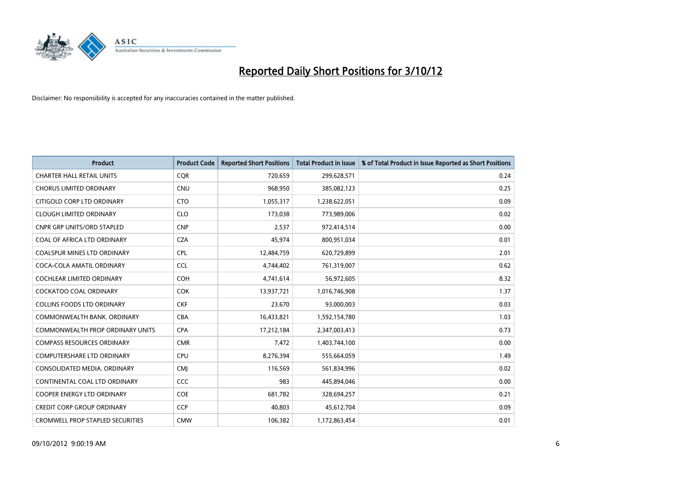

| <b>Product</b>                          | <b>Product Code</b> | <b>Reported Short Positions</b> | <b>Total Product in Issue</b> | % of Total Product in Issue Reported as Short Positions |
|-----------------------------------------|---------------------|---------------------------------|-------------------------------|---------------------------------------------------------|
| <b>CHARTER HALL RETAIL UNITS</b>        | <b>CQR</b>          | 720,659                         | 299,628,571                   | 0.24                                                    |
| <b>CHORUS LIMITED ORDINARY</b>          | <b>CNU</b>          | 968,950                         | 385,082,123                   | 0.25                                                    |
| CITIGOLD CORP LTD ORDINARY              | <b>CTO</b>          | 1,055,317                       | 1,238,622,051                 | 0.09                                                    |
| <b>CLOUGH LIMITED ORDINARY</b>          | <b>CLO</b>          | 173,038                         | 773,989,006                   | 0.02                                                    |
| <b>CNPR GRP UNITS/ORD STAPLED</b>       | <b>CNP</b>          | 2,537                           | 972,414,514                   | 0.00                                                    |
| COAL OF AFRICA LTD ORDINARY             | <b>CZA</b>          | 45,974                          | 800,951,034                   | 0.01                                                    |
| <b>COALSPUR MINES LTD ORDINARY</b>      | <b>CPL</b>          | 12,484,759                      | 620,729,899                   | 2.01                                                    |
| COCA-COLA AMATIL ORDINARY               | <b>CCL</b>          | 4,744,402                       | 761,319,007                   | 0.62                                                    |
| COCHLEAR LIMITED ORDINARY               | <b>COH</b>          | 4,741,614                       | 56,972,605                    | 8.32                                                    |
| <b>COCKATOO COAL ORDINARY</b>           | <b>COK</b>          | 13,937,721                      | 1,016,746,908                 | 1.37                                                    |
| <b>COLLINS FOODS LTD ORDINARY</b>       | <b>CKF</b>          | 23,670                          | 93,000,003                    | 0.03                                                    |
| COMMONWEALTH BANK, ORDINARY             | <b>CBA</b>          | 16,433,821                      | 1,592,154,780                 | 1.03                                                    |
| <b>COMMONWEALTH PROP ORDINARY UNITS</b> | <b>CPA</b>          | 17,212,184                      | 2,347,003,413                 | 0.73                                                    |
| <b>COMPASS RESOURCES ORDINARY</b>       | <b>CMR</b>          | 7,472                           | 1,403,744,100                 | 0.00                                                    |
| <b>COMPUTERSHARE LTD ORDINARY</b>       | CPU                 | 8,276,394                       | 555,664,059                   | 1.49                                                    |
| CONSOLIDATED MEDIA. ORDINARY            | <b>CMI</b>          | 116,569                         | 561,834,996                   | 0.02                                                    |
| CONTINENTAL COAL LTD ORDINARY           | CCC                 | 983                             | 445,894,046                   | 0.00                                                    |
| COOPER ENERGY LTD ORDINARY              | <b>COE</b>          | 681,782                         | 328,694,257                   | 0.21                                                    |
| <b>CREDIT CORP GROUP ORDINARY</b>       | <b>CCP</b>          | 40,803                          | 45,612,704                    | 0.09                                                    |
| <b>CROMWELL PROP STAPLED SECURITIES</b> | <b>CMW</b>          | 106,382                         | 1,172,863,454                 | 0.01                                                    |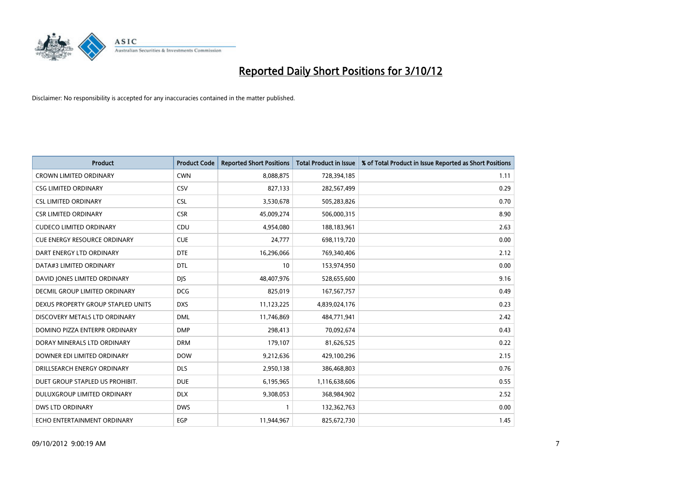

| <b>Product</b>                       | <b>Product Code</b> | <b>Reported Short Positions</b> | <b>Total Product in Issue</b> | % of Total Product in Issue Reported as Short Positions |
|--------------------------------------|---------------------|---------------------------------|-------------------------------|---------------------------------------------------------|
| <b>CROWN LIMITED ORDINARY</b>        | <b>CWN</b>          | 8,088,875                       | 728,394,185                   | 1.11                                                    |
| <b>CSG LIMITED ORDINARY</b>          | CSV                 | 827,133                         | 282,567,499                   | 0.29                                                    |
| <b>CSL LIMITED ORDINARY</b>          | <b>CSL</b>          | 3,530,678                       | 505,283,826                   | 0.70                                                    |
| <b>CSR LIMITED ORDINARY</b>          | <b>CSR</b>          | 45,009,274                      | 506,000,315                   | 8.90                                                    |
| <b>CUDECO LIMITED ORDINARY</b>       | CDU                 | 4,954,080                       | 188,183,961                   | 2.63                                                    |
| <b>CUE ENERGY RESOURCE ORDINARY</b>  | <b>CUE</b>          | 24,777                          | 698,119,720                   | 0.00                                                    |
| DART ENERGY LTD ORDINARY             | <b>DTE</b>          | 16,296,066                      | 769,340,406                   | 2.12                                                    |
| DATA#3 LIMITED ORDINARY              | <b>DTL</b>          | 10                              | 153,974,950                   | 0.00                                                    |
| DAVID JONES LIMITED ORDINARY         | <b>DIS</b>          | 48,407,976                      | 528,655,600                   | 9.16                                                    |
| <b>DECMIL GROUP LIMITED ORDINARY</b> | <b>DCG</b>          | 825,019                         | 167,567,757                   | 0.49                                                    |
| DEXUS PROPERTY GROUP STAPLED UNITS   | <b>DXS</b>          | 11,123,225                      | 4,839,024,176                 | 0.23                                                    |
| DISCOVERY METALS LTD ORDINARY        | <b>DML</b>          | 11,746,869                      | 484,771,941                   | 2.42                                                    |
| DOMINO PIZZA ENTERPR ORDINARY        | <b>DMP</b>          | 298,413                         | 70,092,674                    | 0.43                                                    |
| DORAY MINERALS LTD ORDINARY          | <b>DRM</b>          | 179,107                         | 81,626,525                    | 0.22                                                    |
| DOWNER EDI LIMITED ORDINARY          | <b>DOW</b>          | 9,212,636                       | 429,100,296                   | 2.15                                                    |
| DRILLSEARCH ENERGY ORDINARY          | <b>DLS</b>          | 2,950,138                       | 386,468,803                   | 0.76                                                    |
| DUET GROUP STAPLED US PROHIBIT.      | <b>DUE</b>          | 6,195,965                       | 1,116,638,606                 | 0.55                                                    |
| DULUXGROUP LIMITED ORDINARY          | <b>DLX</b>          | 9,308,053                       | 368,984,902                   | 2.52                                                    |
| <b>DWS LTD ORDINARY</b>              | <b>DWS</b>          |                                 | 132,362,763                   | 0.00                                                    |
| ECHO ENTERTAINMENT ORDINARY          | EGP                 | 11,944,967                      | 825,672,730                   | 1.45                                                    |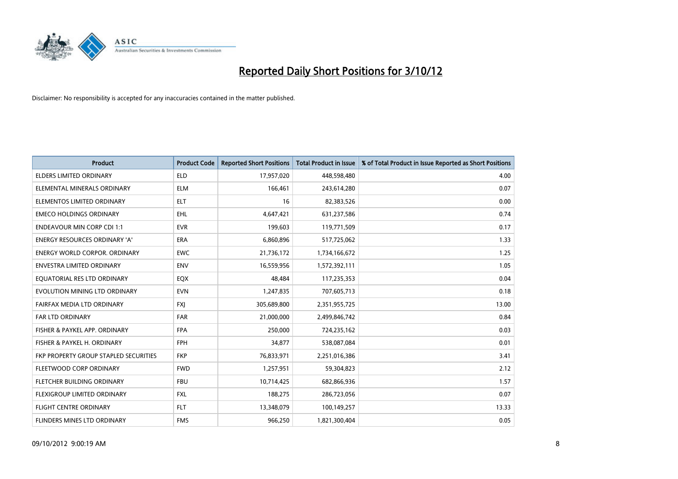

| <b>Product</b>                        | <b>Product Code</b> | <b>Reported Short Positions</b> | <b>Total Product in Issue</b> | % of Total Product in Issue Reported as Short Positions |
|---------------------------------------|---------------------|---------------------------------|-------------------------------|---------------------------------------------------------|
| <b>ELDERS LIMITED ORDINARY</b>        | <b>ELD</b>          | 17,957,020                      | 448,598,480                   | 4.00                                                    |
| ELEMENTAL MINERALS ORDINARY           | <b>ELM</b>          | 166,461                         | 243,614,280                   | 0.07                                                    |
| ELEMENTOS LIMITED ORDINARY            | <b>ELT</b>          | 16                              | 82,383,526                    | 0.00                                                    |
| <b>EMECO HOLDINGS ORDINARY</b>        | <b>EHL</b>          | 4,647,421                       | 631,237,586                   | 0.74                                                    |
| <b>ENDEAVOUR MIN CORP CDI 1:1</b>     | <b>EVR</b>          | 199,603                         | 119,771,509                   | 0.17                                                    |
| <b>ENERGY RESOURCES ORDINARY 'A'</b>  | <b>ERA</b>          | 6,860,896                       | 517,725,062                   | 1.33                                                    |
| <b>ENERGY WORLD CORPOR, ORDINARY</b>  | <b>EWC</b>          | 21,736,172                      | 1,734,166,672                 | 1.25                                                    |
| ENVESTRA LIMITED ORDINARY             | <b>ENV</b>          | 16,559,956                      | 1,572,392,111                 | 1.05                                                    |
| EQUATORIAL RES LTD ORDINARY           | <b>EQX</b>          | 48,484                          | 117,235,353                   | 0.04                                                    |
| EVOLUTION MINING LTD ORDINARY         | <b>EVN</b>          | 1,247,835                       | 707,605,713                   | 0.18                                                    |
| FAIRFAX MEDIA LTD ORDINARY            | <b>FXJ</b>          | 305,689,800                     | 2,351,955,725                 | 13.00                                                   |
| <b>FAR LTD ORDINARY</b>               | FAR                 | 21,000,000                      | 2,499,846,742                 | 0.84                                                    |
| FISHER & PAYKEL APP. ORDINARY         | <b>FPA</b>          | 250,000                         | 724,235,162                   | 0.03                                                    |
| FISHER & PAYKEL H. ORDINARY           | <b>FPH</b>          | 34,877                          | 538,087,084                   | 0.01                                                    |
| FKP PROPERTY GROUP STAPLED SECURITIES | <b>FKP</b>          | 76,833,971                      | 2,251,016,386                 | 3.41                                                    |
| FLEETWOOD CORP ORDINARY               | <b>FWD</b>          | 1,257,951                       | 59,304,823                    | 2.12                                                    |
| FLETCHER BUILDING ORDINARY            | <b>FBU</b>          | 10,714,425                      | 682,866,936                   | 1.57                                                    |
| FLEXIGROUP LIMITED ORDINARY           | <b>FXL</b>          | 188,275                         | 286,723,056                   | 0.07                                                    |
| <b>FLIGHT CENTRE ORDINARY</b>         | <b>FLT</b>          | 13,348,079                      | 100,149,257                   | 13.33                                                   |
| <b>FLINDERS MINES LTD ORDINARY</b>    | <b>FMS</b>          | 966.250                         | 1,821,300,404                 | 0.05                                                    |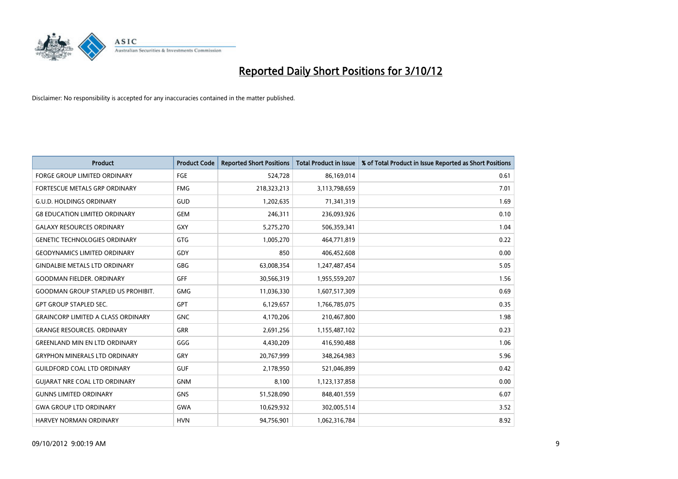

| <b>Product</b>                            | <b>Product Code</b> | <b>Reported Short Positions</b> | <b>Total Product in Issue</b> | % of Total Product in Issue Reported as Short Positions |
|-------------------------------------------|---------------------|---------------------------------|-------------------------------|---------------------------------------------------------|
| <b>FORGE GROUP LIMITED ORDINARY</b>       | FGE                 | 524,728                         | 86,169,014                    | 0.61                                                    |
| FORTESCUE METALS GRP ORDINARY             | <b>FMG</b>          | 218,323,213                     | 3,113,798,659                 | 7.01                                                    |
| <b>G.U.D. HOLDINGS ORDINARY</b>           | GUD                 | 1,202,635                       | 71,341,319                    | 1.69                                                    |
| <b>G8 EDUCATION LIMITED ORDINARY</b>      | <b>GEM</b>          | 246,311                         | 236,093,926                   | 0.10                                                    |
| <b>GALAXY RESOURCES ORDINARY</b>          | <b>GXY</b>          | 5,275,270                       | 506,359,341                   | 1.04                                                    |
| <b>GENETIC TECHNOLOGIES ORDINARY</b>      | <b>GTG</b>          | 1,005,270                       | 464,771,819                   | 0.22                                                    |
| <b>GEODYNAMICS LIMITED ORDINARY</b>       | GDY                 | 850                             | 406,452,608                   | 0.00                                                    |
| <b>GINDALBIE METALS LTD ORDINARY</b>      | GBG                 | 63,008,354                      | 1,247,487,454                 | 5.05                                                    |
| <b>GOODMAN FIELDER. ORDINARY</b>          | <b>GFF</b>          | 30,566,319                      | 1,955,559,207                 | 1.56                                                    |
| <b>GOODMAN GROUP STAPLED US PROHIBIT.</b> | <b>GMG</b>          | 11,036,330                      | 1,607,517,309                 | 0.69                                                    |
| <b>GPT GROUP STAPLED SEC.</b>             | <b>GPT</b>          | 6,129,657                       | 1,766,785,075                 | 0.35                                                    |
| <b>GRAINCORP LIMITED A CLASS ORDINARY</b> | <b>GNC</b>          | 4,170,206                       | 210,467,800                   | 1.98                                                    |
| <b>GRANGE RESOURCES. ORDINARY</b>         | <b>GRR</b>          | 2,691,256                       | 1,155,487,102                 | 0.23                                                    |
| <b>GREENLAND MIN EN LTD ORDINARY</b>      | GGG                 | 4,430,209                       | 416,590,488                   | 1.06                                                    |
| <b>GRYPHON MINERALS LTD ORDINARY</b>      | GRY                 | 20,767,999                      | 348,264,983                   | 5.96                                                    |
| <b>GUILDFORD COAL LTD ORDINARY</b>        | <b>GUF</b>          | 2,178,950                       | 521,046,899                   | 0.42                                                    |
| <b>GUIARAT NRE COAL LTD ORDINARY</b>      | <b>GNM</b>          | 8,100                           | 1,123,137,858                 | 0.00                                                    |
| <b>GUNNS LIMITED ORDINARY</b>             | <b>GNS</b>          | 51,528,090                      | 848,401,559                   | 6.07                                                    |
| <b>GWA GROUP LTD ORDINARY</b>             | <b>GWA</b>          | 10,629,932                      | 302,005,514                   | 3.52                                                    |
| <b>HARVEY NORMAN ORDINARY</b>             | <b>HVN</b>          | 94.756.901                      | 1,062,316,784                 | 8.92                                                    |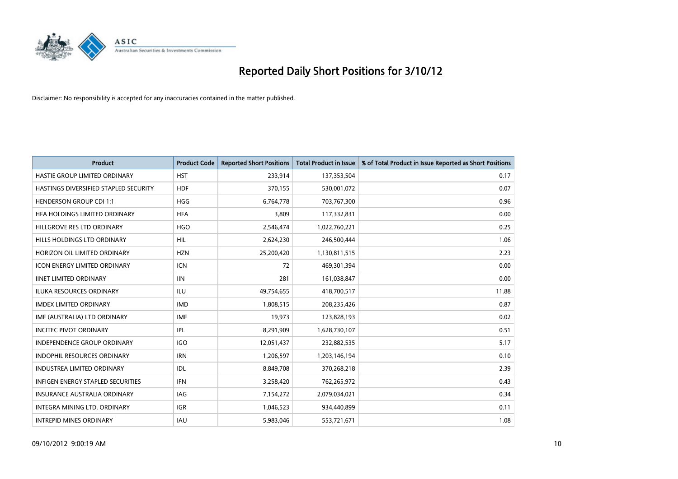

| <b>Product</b>                           | <b>Product Code</b> | <b>Reported Short Positions</b> | <b>Total Product in Issue</b> | % of Total Product in Issue Reported as Short Positions |
|------------------------------------------|---------------------|---------------------------------|-------------------------------|---------------------------------------------------------|
| HASTIE GROUP LIMITED ORDINARY            | <b>HST</b>          | 233,914                         | 137,353,504                   | 0.17                                                    |
| HASTINGS DIVERSIFIED STAPLED SECURITY    | <b>HDF</b>          | 370,155                         | 530,001,072                   | 0.07                                                    |
| <b>HENDERSON GROUP CDI 1:1</b>           | <b>HGG</b>          | 6,764,778                       | 703,767,300                   | 0.96                                                    |
| HFA HOLDINGS LIMITED ORDINARY            | <b>HFA</b>          | 3,809                           | 117,332,831                   | 0.00                                                    |
| HILLGROVE RES LTD ORDINARY               | <b>HGO</b>          | 2,546,474                       | 1,022,760,221                 | 0.25                                                    |
| HILLS HOLDINGS LTD ORDINARY              | <b>HIL</b>          | 2,624,230                       | 246,500,444                   | 1.06                                                    |
| HORIZON OIL LIMITED ORDINARY             | <b>HZN</b>          | 25,200,420                      | 1,130,811,515                 | 2.23                                                    |
| <b>ICON ENERGY LIMITED ORDINARY</b>      | <b>ICN</b>          | 72                              | 469,301,394                   | 0.00                                                    |
| <b>IINET LIMITED ORDINARY</b>            | <b>IIN</b>          | 281                             | 161,038,847                   | 0.00                                                    |
| <b>ILUKA RESOURCES ORDINARY</b>          | ILU                 | 49,754,655                      | 418,700,517                   | 11.88                                                   |
| <b>IMDEX LIMITED ORDINARY</b>            | <b>IMD</b>          | 1,808,515                       | 208,235,426                   | 0.87                                                    |
| IMF (AUSTRALIA) LTD ORDINARY             | <b>IMF</b>          | 19,973                          | 123,828,193                   | 0.02                                                    |
| <b>INCITEC PIVOT ORDINARY</b>            | IPL                 | 8,291,909                       | 1,628,730,107                 | 0.51                                                    |
| <b>INDEPENDENCE GROUP ORDINARY</b>       | <b>IGO</b>          | 12,051,437                      | 232,882,535                   | 5.17                                                    |
| <b>INDOPHIL RESOURCES ORDINARY</b>       | <b>IRN</b>          | 1,206,597                       | 1,203,146,194                 | 0.10                                                    |
| INDUSTREA LIMITED ORDINARY               | IDL                 | 8,849,708                       | 370,268,218                   | 2.39                                                    |
| <b>INFIGEN ENERGY STAPLED SECURITIES</b> | <b>IFN</b>          | 3,258,420                       | 762,265,972                   | 0.43                                                    |
| INSURANCE AUSTRALIA ORDINARY             | IAG.                | 7,154,272                       | 2,079,034,021                 | 0.34                                                    |
| <b>INTEGRA MINING LTD, ORDINARY</b>      | <b>IGR</b>          | 1,046,523                       | 934,440,899                   | 0.11                                                    |
| <b>INTREPID MINES ORDINARY</b>           | <b>IAU</b>          | 5,983,046                       | 553,721,671                   | 1.08                                                    |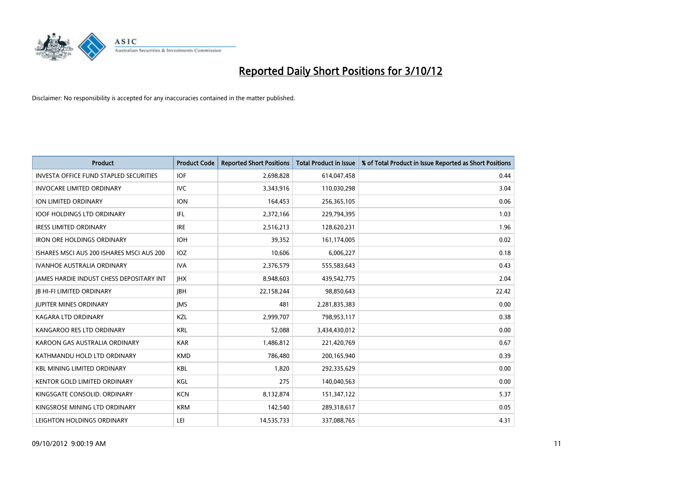

| <b>Product</b>                                | <b>Product Code</b> | <b>Reported Short Positions</b> | <b>Total Product in Issue</b> | % of Total Product in Issue Reported as Short Positions |
|-----------------------------------------------|---------------------|---------------------------------|-------------------------------|---------------------------------------------------------|
| <b>INVESTA OFFICE FUND STAPLED SECURITIES</b> | <b>IOF</b>          | 2,698,828                       | 614,047,458                   | 0.44                                                    |
| <b>INVOCARE LIMITED ORDINARY</b>              | IVC                 | 3,343,916                       | 110,030,298                   | 3.04                                                    |
| ION LIMITED ORDINARY                          | <b>ION</b>          | 164,453                         | 256,365,105                   | 0.06                                                    |
| <b>IOOF HOLDINGS LTD ORDINARY</b>             | IFL.                | 2,372,166                       | 229,794,395                   | 1.03                                                    |
| <b>IRESS LIMITED ORDINARY</b>                 | <b>IRE</b>          | 2,516,213                       | 128,620,231                   | 1.96                                                    |
| <b>IRON ORE HOLDINGS ORDINARY</b>             | <b>IOH</b>          | 39,352                          | 161,174,005                   | 0.02                                                    |
| ISHARES MSCI AUS 200 ISHARES MSCI AUS 200     | <b>IOZ</b>          | 10.606                          | 6,006,227                     | 0.18                                                    |
| <b>IVANHOE AUSTRALIA ORDINARY</b>             | <b>IVA</b>          | 2,376,579                       | 555,583,643                   | 0.43                                                    |
| JAMES HARDIE INDUST CHESS DEPOSITARY INT      | <b>IHX</b>          | 8,948,603                       | 439,542,775                   | 2.04                                                    |
| <b>IB HI-FI LIMITED ORDINARY</b>              | <b>IBH</b>          | 22,158,244                      | 98,850,643                    | 22.42                                                   |
| <b>JUPITER MINES ORDINARY</b>                 | <b>IMS</b>          | 481                             | 2,281,835,383                 | 0.00                                                    |
| <b>KAGARA LTD ORDINARY</b>                    | <b>KZL</b>          | 2,999,707                       | 798,953,117                   | 0.38                                                    |
| KANGAROO RES LTD ORDINARY                     | <b>KRL</b>          | 52,088                          | 3,434,430,012                 | 0.00                                                    |
| KAROON GAS AUSTRALIA ORDINARY                 | <b>KAR</b>          | 1,486,812                       | 221,420,769                   | 0.67                                                    |
| KATHMANDU HOLD LTD ORDINARY                   | <b>KMD</b>          | 786,480                         | 200,165,940                   | 0.39                                                    |
| <b>KBL MINING LIMITED ORDINARY</b>            | <b>KBL</b>          | 1,820                           | 292,335,629                   | 0.00                                                    |
| <b>KENTOR GOLD LIMITED ORDINARY</b>           | KGL                 | 275                             | 140,040,563                   | 0.00                                                    |
| KINGSGATE CONSOLID. ORDINARY                  | <b>KCN</b>          | 8,132,874                       | 151,347,122                   | 5.37                                                    |
| KINGSROSE MINING LTD ORDINARY                 | <b>KRM</b>          | 142,540                         | 289,318,617                   | 0.05                                                    |
| LEIGHTON HOLDINGS ORDINARY                    | LEI                 | 14,535,733                      | 337,088,765                   | 4.31                                                    |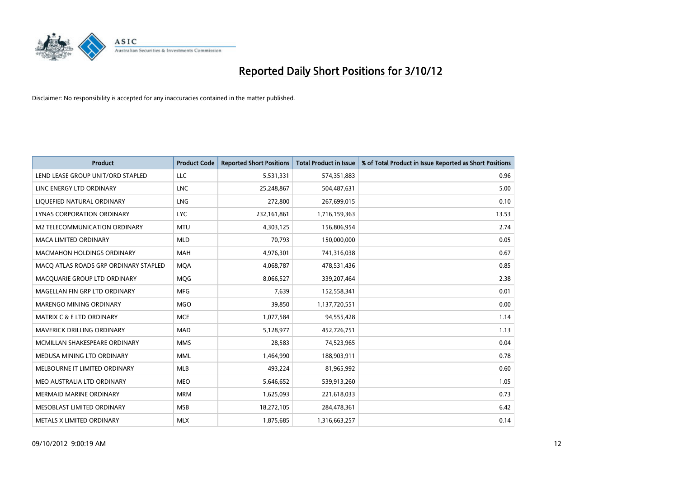

| <b>Product</b>                        | <b>Product Code</b> | <b>Reported Short Positions</b> | <b>Total Product in Issue</b> | % of Total Product in Issue Reported as Short Positions |
|---------------------------------------|---------------------|---------------------------------|-------------------------------|---------------------------------------------------------|
| LEND LEASE GROUP UNIT/ORD STAPLED     | LLC                 | 5,531,331                       | 574,351,883                   | 0.96                                                    |
| LINC ENERGY LTD ORDINARY              | <b>LNC</b>          | 25,248,867                      | 504,487,631                   | 5.00                                                    |
| LIQUEFIED NATURAL ORDINARY            | <b>LNG</b>          | 272,800                         | 267,699,015                   | 0.10                                                    |
| LYNAS CORPORATION ORDINARY            | <b>LYC</b>          | 232,161,861                     | 1,716,159,363                 | 13.53                                                   |
| M2 TELECOMMUNICATION ORDINARY         | <b>MTU</b>          | 4,303,125                       | 156,806,954                   | 2.74                                                    |
| <b>MACA LIMITED ORDINARY</b>          | <b>MLD</b>          | 70,793                          | 150,000,000                   | 0.05                                                    |
| <b>MACMAHON HOLDINGS ORDINARY</b>     | <b>MAH</b>          | 4,976,301                       | 741,316,038                   | 0.67                                                    |
| MACQ ATLAS ROADS GRP ORDINARY STAPLED | <b>MOA</b>          | 4,068,787                       | 478,531,436                   | 0.85                                                    |
| MACQUARIE GROUP LTD ORDINARY          | <b>MOG</b>          | 8,066,527                       | 339,207,464                   | 2.38                                                    |
| MAGELLAN FIN GRP LTD ORDINARY         | <b>MFG</b>          | 7,639                           | 152,558,341                   | 0.01                                                    |
| MARENGO MINING ORDINARY               | <b>MGO</b>          | 39,850                          | 1,137,720,551                 | 0.00                                                    |
| <b>MATRIX C &amp; E LTD ORDINARY</b>  | <b>MCE</b>          | 1,077,584                       | 94,555,428                    | 1.14                                                    |
| MAVERICK DRILLING ORDINARY            | <b>MAD</b>          | 5,128,977                       | 452,726,751                   | 1.13                                                    |
| MCMILLAN SHAKESPEARE ORDINARY         | <b>MMS</b>          | 28,583                          | 74,523,965                    | 0.04                                                    |
| MEDUSA MINING LTD ORDINARY            | <b>MML</b>          | 1,464,990                       | 188,903,911                   | 0.78                                                    |
| MELBOURNE IT LIMITED ORDINARY         | <b>MLB</b>          | 493,224                         | 81,965,992                    | 0.60                                                    |
| MEO AUSTRALIA LTD ORDINARY            | <b>MEO</b>          | 5,646,652                       | 539,913,260                   | 1.05                                                    |
| <b>MERMAID MARINE ORDINARY</b>        | <b>MRM</b>          | 1,625,093                       | 221,618,033                   | 0.73                                                    |
| MESOBLAST LIMITED ORDINARY            | <b>MSB</b>          | 18,272,105                      | 284,478,361                   | 6.42                                                    |
| METALS X LIMITED ORDINARY             | <b>MLX</b>          | 1,875,685                       | 1,316,663,257                 | 0.14                                                    |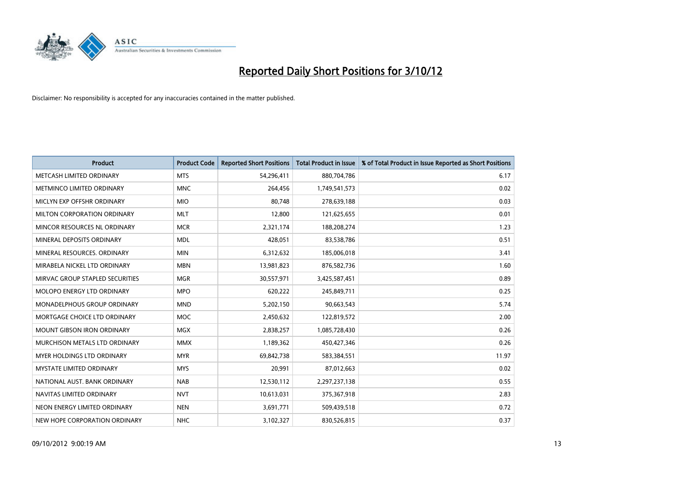

| <b>Product</b>                       | <b>Product Code</b> | <b>Reported Short Positions</b> | <b>Total Product in Issue</b> | % of Total Product in Issue Reported as Short Positions |
|--------------------------------------|---------------------|---------------------------------|-------------------------------|---------------------------------------------------------|
| METCASH LIMITED ORDINARY             | <b>MTS</b>          | 54,296,411                      | 880,704,786                   | 6.17                                                    |
| METMINCO LIMITED ORDINARY            | <b>MNC</b>          | 264,456                         | 1,749,541,573                 | 0.02                                                    |
| MICLYN EXP OFFSHR ORDINARY           | <b>MIO</b>          | 80,748                          | 278,639,188                   | 0.03                                                    |
| MILTON CORPORATION ORDINARY          | <b>MLT</b>          | 12,800                          | 121,625,655                   | 0.01                                                    |
| MINCOR RESOURCES NL ORDINARY         | <b>MCR</b>          | 2,321,174                       | 188,208,274                   | 1.23                                                    |
| MINERAL DEPOSITS ORDINARY            | <b>MDL</b>          | 428,051                         | 83,538,786                    | 0.51                                                    |
| MINERAL RESOURCES, ORDINARY          | <b>MIN</b>          | 6,312,632                       | 185,006,018                   | 3.41                                                    |
| MIRABELA NICKEL LTD ORDINARY         | <b>MBN</b>          | 13,981,823                      | 876,582,736                   | 1.60                                                    |
| MIRVAC GROUP STAPLED SECURITIES      | <b>MGR</b>          | 30,557,971                      | 3,425,587,451                 | 0.89                                                    |
| MOLOPO ENERGY LTD ORDINARY           | <b>MPO</b>          | 620,222                         | 245,849,711                   | 0.25                                                    |
| <b>MONADELPHOUS GROUP ORDINARY</b>   | <b>MND</b>          | 5,202,150                       | 90,663,543                    | 5.74                                                    |
| MORTGAGE CHOICE LTD ORDINARY         | MOC                 | 2,450,632                       | 122,819,572                   | 2.00                                                    |
| <b>MOUNT GIBSON IRON ORDINARY</b>    | <b>MGX</b>          | 2,838,257                       | 1,085,728,430                 | 0.26                                                    |
| <b>MURCHISON METALS LTD ORDINARY</b> | <b>MMX</b>          | 1,189,362                       | 450,427,346                   | 0.26                                                    |
| <b>MYER HOLDINGS LTD ORDINARY</b>    | <b>MYR</b>          | 69,842,738                      | 583,384,551                   | 11.97                                                   |
| <b>MYSTATE LIMITED ORDINARY</b>      | <b>MYS</b>          | 20,991                          | 87,012,663                    | 0.02                                                    |
| NATIONAL AUST, BANK ORDINARY         | <b>NAB</b>          | 12,530,112                      | 2,297,237,138                 | 0.55                                                    |
| NAVITAS LIMITED ORDINARY             | <b>NVT</b>          | 10,613,031                      | 375,367,918                   | 2.83                                                    |
| NEON ENERGY LIMITED ORDINARY         | <b>NEN</b>          | 3,691,771                       | 509,439,518                   | 0.72                                                    |
| NEW HOPE CORPORATION ORDINARY        | <b>NHC</b>          | 3,102,327                       | 830,526,815                   | 0.37                                                    |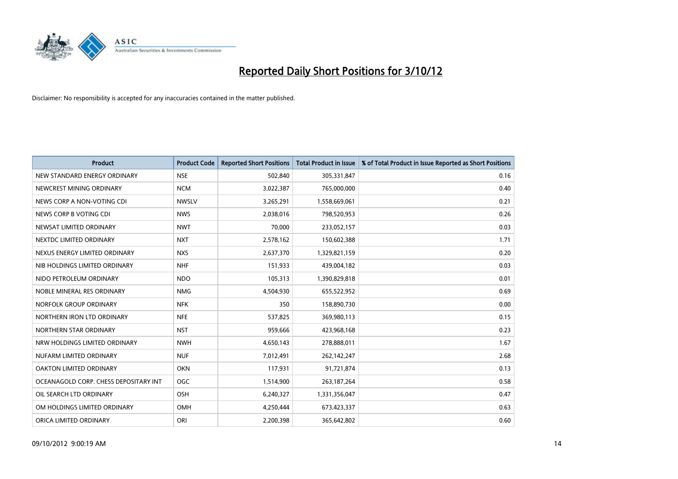

| <b>Product</b>                        | <b>Product Code</b> | <b>Reported Short Positions</b> | <b>Total Product in Issue</b> | % of Total Product in Issue Reported as Short Positions |
|---------------------------------------|---------------------|---------------------------------|-------------------------------|---------------------------------------------------------|
| NEW STANDARD ENERGY ORDINARY          | <b>NSE</b>          | 502,840                         | 305,331,847                   | 0.16                                                    |
| NEWCREST MINING ORDINARY              | <b>NCM</b>          | 3,022,387                       | 765,000,000                   | 0.40                                                    |
| NEWS CORP A NON-VOTING CDI            | <b>NWSLV</b>        | 3,265,291                       | 1,558,669,061                 | 0.21                                                    |
| NEWS CORP B VOTING CDI                | <b>NWS</b>          | 2,038,016                       | 798,520,953                   | 0.26                                                    |
| NEWSAT LIMITED ORDINARY               | <b>NWT</b>          | 70,000                          | 233,052,157                   | 0.03                                                    |
| NEXTDC LIMITED ORDINARY               | <b>NXT</b>          | 2,578,162                       | 150,602,388                   | 1.71                                                    |
| NEXUS ENERGY LIMITED ORDINARY         | <b>NXS</b>          | 2,637,370                       | 1,329,821,159                 | 0.20                                                    |
| NIB HOLDINGS LIMITED ORDINARY         | <b>NHF</b>          | 151,933                         | 439,004,182                   | 0.03                                                    |
| NIDO PETROLEUM ORDINARY               | <b>NDO</b>          | 105,313                         | 1,390,829,818                 | 0.01                                                    |
| NOBLE MINERAL RES ORDINARY            | <b>NMG</b>          | 4,504,930                       | 655,522,952                   | 0.69                                                    |
| NORFOLK GROUP ORDINARY                | <b>NFK</b>          | 350                             | 158,890,730                   | 0.00                                                    |
| NORTHERN IRON LTD ORDINARY            | <b>NFE</b>          | 537,825                         | 369,980,113                   | 0.15                                                    |
| NORTHERN STAR ORDINARY                | <b>NST</b>          | 959,666                         | 423,968,168                   | 0.23                                                    |
| NRW HOLDINGS LIMITED ORDINARY         | <b>NWH</b>          | 4,650,143                       | 278,888,011                   | 1.67                                                    |
| NUFARM LIMITED ORDINARY               | <b>NUF</b>          | 7,012,491                       | 262,142,247                   | 2.68                                                    |
| OAKTON LIMITED ORDINARY               | <b>OKN</b>          | 117,931                         | 91,721,874                    | 0.13                                                    |
| OCEANAGOLD CORP. CHESS DEPOSITARY INT | <b>OGC</b>          | 1,514,900                       | 263, 187, 264                 | 0.58                                                    |
| OIL SEARCH LTD ORDINARY               | <b>OSH</b>          | 6,240,327                       | 1,331,356,047                 | 0.47                                                    |
| OM HOLDINGS LIMITED ORDINARY          | OMH                 | 4,250,444                       | 673,423,337                   | 0.63                                                    |
| ORICA LIMITED ORDINARY                | ORI                 | 2,200,398                       | 365,642,802                   | 0.60                                                    |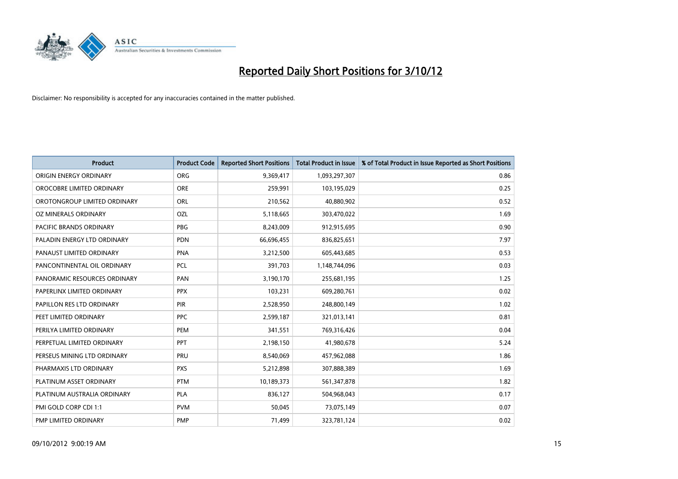

| <b>Product</b>               | <b>Product Code</b> | <b>Reported Short Positions</b> | <b>Total Product in Issue</b> | % of Total Product in Issue Reported as Short Positions |
|------------------------------|---------------------|---------------------------------|-------------------------------|---------------------------------------------------------|
| ORIGIN ENERGY ORDINARY       | <b>ORG</b>          | 9,369,417                       | 1,093,297,307                 | 0.86                                                    |
| OROCOBRE LIMITED ORDINARY    | <b>ORE</b>          | 259,991                         | 103,195,029                   | 0.25                                                    |
| OROTONGROUP LIMITED ORDINARY | ORL                 | 210,562                         | 40,880,902                    | 0.52                                                    |
| OZ MINERALS ORDINARY         | OZL                 | 5,118,665                       | 303,470,022                   | 1.69                                                    |
| PACIFIC BRANDS ORDINARY      | <b>PBG</b>          | 8,243,009                       | 912,915,695                   | 0.90                                                    |
| PALADIN ENERGY LTD ORDINARY  | <b>PDN</b>          | 66,696,455                      | 836,825,651                   | 7.97                                                    |
| PANAUST LIMITED ORDINARY     | <b>PNA</b>          | 3,212,500                       | 605,443,685                   | 0.53                                                    |
| PANCONTINENTAL OIL ORDINARY  | PCL                 | 391,703                         | 1,148,744,096                 | 0.03                                                    |
| PANORAMIC RESOURCES ORDINARY | PAN                 | 3,190,170                       | 255,681,195                   | 1.25                                                    |
| PAPERLINX LIMITED ORDINARY   | <b>PPX</b>          | 103,231                         | 609,280,761                   | 0.02                                                    |
| PAPILLON RES LTD ORDINARY    | <b>PIR</b>          | 2,528,950                       | 248,800,149                   | 1.02                                                    |
| PEET LIMITED ORDINARY        | <b>PPC</b>          | 2,599,187                       | 321,013,141                   | 0.81                                                    |
| PERILYA LIMITED ORDINARY     | PEM                 | 341,551                         | 769,316,426                   | 0.04                                                    |
| PERPETUAL LIMITED ORDINARY   | <b>PPT</b>          | 2,198,150                       | 41,980,678                    | 5.24                                                    |
| PERSEUS MINING LTD ORDINARY  | PRU                 | 8,540,069                       | 457,962,088                   | 1.86                                                    |
| PHARMAXIS LTD ORDINARY       | <b>PXS</b>          | 5,212,898                       | 307,888,389                   | 1.69                                                    |
| PLATINUM ASSET ORDINARY      | <b>PTM</b>          | 10,189,373                      | 561,347,878                   | 1.82                                                    |
| PLATINUM AUSTRALIA ORDINARY  | <b>PLA</b>          | 836,127                         | 504,968,043                   | 0.17                                                    |
| PMI GOLD CORP CDI 1:1        | <b>PVM</b>          | 50,045                          | 73,075,149                    | 0.07                                                    |
| PMP LIMITED ORDINARY         | <b>PMP</b>          | 71,499                          | 323,781,124                   | 0.02                                                    |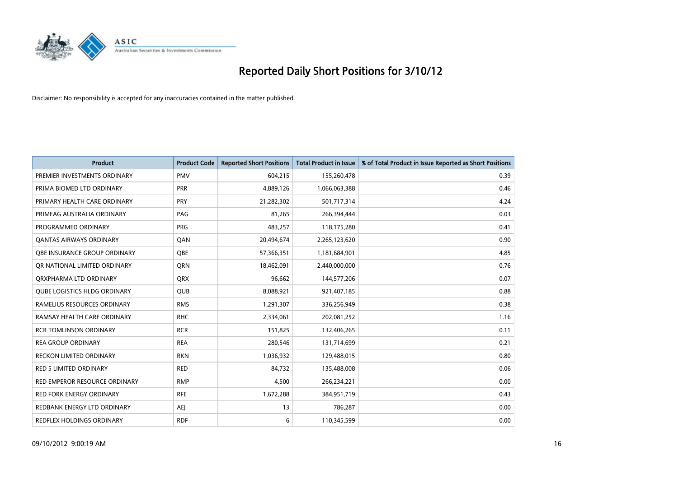

| <b>Product</b>                      | <b>Product Code</b> | <b>Reported Short Positions</b> | <b>Total Product in Issue</b> | % of Total Product in Issue Reported as Short Positions |
|-------------------------------------|---------------------|---------------------------------|-------------------------------|---------------------------------------------------------|
| PREMIER INVESTMENTS ORDINARY        | <b>PMV</b>          | 604,215                         | 155,260,478                   | 0.39                                                    |
| PRIMA BIOMED LTD ORDINARY           | <b>PRR</b>          | 4,889,126                       | 1,066,063,388                 | 0.46                                                    |
| PRIMARY HEALTH CARE ORDINARY        | <b>PRY</b>          | 21,282,302                      | 501,717,314                   | 4.24                                                    |
| PRIMEAG AUSTRALIA ORDINARY          | PAG                 | 81,265                          | 266,394,444                   | 0.03                                                    |
| PROGRAMMED ORDINARY                 | <b>PRG</b>          | 483,257                         | 118,175,280                   | 0.41                                                    |
| <b>QANTAS AIRWAYS ORDINARY</b>      | QAN                 | 20,494,674                      | 2,265,123,620                 | 0.90                                                    |
| <b>OBE INSURANCE GROUP ORDINARY</b> | OBE                 | 57,366,351                      | 1,181,684,901                 | 4.85                                                    |
| OR NATIONAL LIMITED ORDINARY        | <b>ORN</b>          | 18,462,091                      | 2,440,000,000                 | 0.76                                                    |
| ORXPHARMA LTD ORDINARY              | <b>ORX</b>          | 96,662                          | 144,577,206                   | 0.07                                                    |
| <b>OUBE LOGISTICS HLDG ORDINARY</b> | <b>QUB</b>          | 8,088,921                       | 921,407,185                   | 0.88                                                    |
| RAMELIUS RESOURCES ORDINARY         | <b>RMS</b>          | 1,291,307                       | 336,256,949                   | 0.38                                                    |
| RAMSAY HEALTH CARE ORDINARY         | <b>RHC</b>          | 2,334,061                       | 202,081,252                   | 1.16                                                    |
| <b>RCR TOMLINSON ORDINARY</b>       | <b>RCR</b>          | 151,825                         | 132,406,265                   | 0.11                                                    |
| <b>REA GROUP ORDINARY</b>           | <b>REA</b>          | 280,546                         | 131,714,699                   | 0.21                                                    |
| <b>RECKON LIMITED ORDINARY</b>      | <b>RKN</b>          | 1,036,932                       | 129,488,015                   | 0.80                                                    |
| RED 5 LIMITED ORDINARY              | <b>RED</b>          | 84,732                          | 135,488,008                   | 0.06                                                    |
| RED EMPEROR RESOURCE ORDINARY       | <b>RMP</b>          | 4,500                           | 266,234,221                   | 0.00                                                    |
| <b>RED FORK ENERGY ORDINARY</b>     | <b>RFE</b>          | 1,672,288                       | 384,951,719                   | 0.43                                                    |
| REDBANK ENERGY LTD ORDINARY         | AEI                 | 13                              | 786,287                       | 0.00                                                    |
| REDFLEX HOLDINGS ORDINARY           | <b>RDF</b>          | 6                               | 110,345,599                   | 0.00                                                    |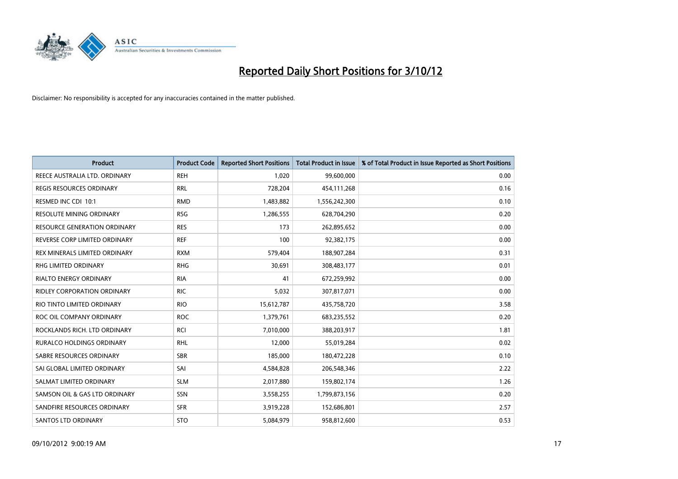

| <b>Product</b>                      | <b>Product Code</b> | <b>Reported Short Positions</b> | <b>Total Product in Issue</b> | % of Total Product in Issue Reported as Short Positions |
|-------------------------------------|---------------------|---------------------------------|-------------------------------|---------------------------------------------------------|
| REECE AUSTRALIA LTD. ORDINARY       | <b>REH</b>          | 1.020                           | 99,600,000                    | 0.00                                                    |
| REGIS RESOURCES ORDINARY            | <b>RRL</b>          | 728,204                         | 454,111,268                   | 0.16                                                    |
| RESMED INC CDI 10:1                 | <b>RMD</b>          | 1,483,882                       | 1,556,242,300                 | 0.10                                                    |
| RESOLUTE MINING ORDINARY            | <b>RSG</b>          | 1,286,555                       | 628,704,290                   | 0.20                                                    |
| <b>RESOURCE GENERATION ORDINARY</b> | <b>RES</b>          | 173                             | 262,895,652                   | 0.00                                                    |
| REVERSE CORP LIMITED ORDINARY       | <b>REF</b>          | 100                             | 92,382,175                    | 0.00                                                    |
| REX MINERALS LIMITED ORDINARY       | <b>RXM</b>          | 579,404                         | 188,907,284                   | 0.31                                                    |
| RHG LIMITED ORDINARY                | <b>RHG</b>          | 30,691                          | 308,483,177                   | 0.01                                                    |
| <b>RIALTO ENERGY ORDINARY</b>       | <b>RIA</b>          | 41                              | 672,259,992                   | 0.00                                                    |
| <b>RIDLEY CORPORATION ORDINARY</b>  | <b>RIC</b>          | 5,032                           | 307,817,071                   | 0.00                                                    |
| RIO TINTO LIMITED ORDINARY          | <b>RIO</b>          | 15,612,787                      | 435,758,720                   | 3.58                                                    |
| ROC OIL COMPANY ORDINARY            | <b>ROC</b>          | 1,379,761                       | 683,235,552                   | 0.20                                                    |
| ROCKLANDS RICH. LTD ORDINARY        | <b>RCI</b>          | 7,010,000                       | 388,203,917                   | 1.81                                                    |
| RURALCO HOLDINGS ORDINARY           | <b>RHL</b>          | 12,000                          | 55,019,284                    | 0.02                                                    |
| SABRE RESOURCES ORDINARY            | <b>SBR</b>          | 185,000                         | 180,472,228                   | 0.10                                                    |
| SAI GLOBAL LIMITED ORDINARY         | SAI                 | 4,584,828                       | 206,548,346                   | 2.22                                                    |
| SALMAT LIMITED ORDINARY             | <b>SLM</b>          | 2,017,880                       | 159,802,174                   | 1.26                                                    |
| SAMSON OIL & GAS LTD ORDINARY       | <b>SSN</b>          | 3,558,255                       | 1,799,873,156                 | 0.20                                                    |
| SANDFIRE RESOURCES ORDINARY         | <b>SFR</b>          | 3,919,228                       | 152,686,801                   | 2.57                                                    |
| <b>SANTOS LTD ORDINARY</b>          | <b>STO</b>          | 5,084,979                       | 958,812,600                   | 0.53                                                    |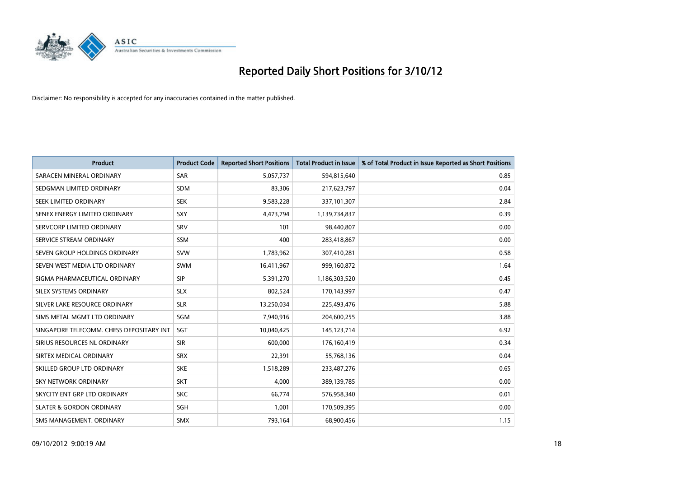

| <b>Product</b>                           | <b>Product Code</b> | <b>Reported Short Positions</b> | <b>Total Product in Issue</b> | % of Total Product in Issue Reported as Short Positions |
|------------------------------------------|---------------------|---------------------------------|-------------------------------|---------------------------------------------------------|
| SARACEN MINERAL ORDINARY                 | <b>SAR</b>          | 5,057,737                       | 594,815,640                   | 0.85                                                    |
| SEDGMAN LIMITED ORDINARY                 | <b>SDM</b>          | 83,306                          | 217,623,797                   | 0.04                                                    |
| SEEK LIMITED ORDINARY                    | <b>SEK</b>          | 9,583,228                       | 337,101,307                   | 2.84                                                    |
| SENEX ENERGY LIMITED ORDINARY            | <b>SXY</b>          | 4,473,794                       | 1,139,734,837                 | 0.39                                                    |
| SERVCORP LIMITED ORDINARY                | SRV                 | 101                             | 98,440,807                    | 0.00                                                    |
| SERVICE STREAM ORDINARY                  | <b>SSM</b>          | 400                             | 283,418,867                   | 0.00                                                    |
| SEVEN GROUP HOLDINGS ORDINARY            | <b>SVW</b>          | 1,783,962                       | 307,410,281                   | 0.58                                                    |
| SEVEN WEST MEDIA LTD ORDINARY            | <b>SWM</b>          | 16,411,967                      | 999,160,872                   | 1.64                                                    |
| SIGMA PHARMACEUTICAL ORDINARY            | <b>SIP</b>          | 5,391,270                       | 1,186,303,520                 | 0.45                                                    |
| SILEX SYSTEMS ORDINARY                   | <b>SLX</b>          | 802,524                         | 170,143,997                   | 0.47                                                    |
| SILVER LAKE RESOURCE ORDINARY            | <b>SLR</b>          | 13,250,034                      | 225,493,476                   | 5.88                                                    |
| SIMS METAL MGMT LTD ORDINARY             | SGM                 | 7,940,916                       | 204,600,255                   | 3.88                                                    |
| SINGAPORE TELECOMM. CHESS DEPOSITARY INT | <b>SGT</b>          | 10,040,425                      | 145, 123, 714                 | 6.92                                                    |
| SIRIUS RESOURCES NL ORDINARY             | <b>SIR</b>          | 600,000                         | 176,160,419                   | 0.34                                                    |
| SIRTEX MEDICAL ORDINARY                  | <b>SRX</b>          | 22,391                          | 55,768,136                    | 0.04                                                    |
| SKILLED GROUP LTD ORDINARY               | <b>SKE</b>          | 1,518,289                       | 233,487,276                   | 0.65                                                    |
| SKY NETWORK ORDINARY                     | <b>SKT</b>          | 4,000                           | 389,139,785                   | 0.00                                                    |
| SKYCITY ENT GRP LTD ORDINARY             | <b>SKC</b>          | 66,774                          | 576,958,340                   | 0.01                                                    |
| <b>SLATER &amp; GORDON ORDINARY</b>      | <b>SGH</b>          | 1,001                           | 170,509,395                   | 0.00                                                    |
| SMS MANAGEMENT. ORDINARY                 | <b>SMX</b>          | 793,164                         | 68,900,456                    | 1.15                                                    |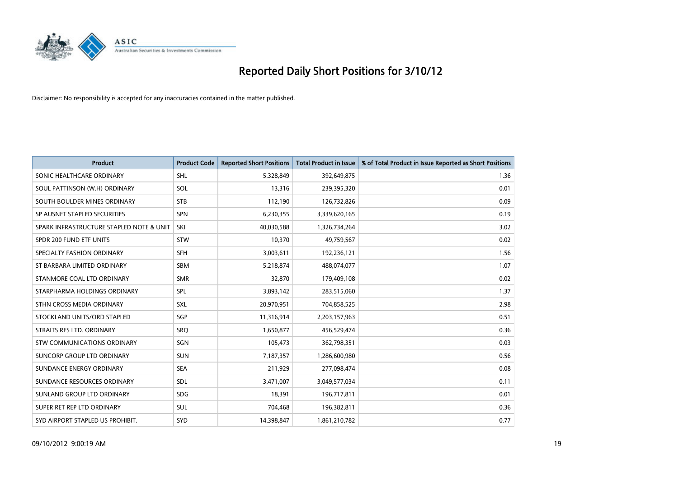

| <b>Product</b>                           | <b>Product Code</b> | <b>Reported Short Positions</b> | <b>Total Product in Issue</b> | % of Total Product in Issue Reported as Short Positions |
|------------------------------------------|---------------------|---------------------------------|-------------------------------|---------------------------------------------------------|
| SONIC HEALTHCARE ORDINARY                | <b>SHL</b>          | 5,328,849                       | 392,649,875                   | 1.36                                                    |
| SOUL PATTINSON (W.H) ORDINARY            | SOL                 | 13,316                          | 239,395,320                   | 0.01                                                    |
| SOUTH BOULDER MINES ORDINARY             | <b>STB</b>          | 112,190                         | 126,732,826                   | 0.09                                                    |
| SP AUSNET STAPLED SECURITIES             | <b>SPN</b>          | 6,230,355                       | 3,339,620,165                 | 0.19                                                    |
| SPARK INFRASTRUCTURE STAPLED NOTE & UNIT | SKI                 | 40,030,588                      | 1,326,734,264                 | 3.02                                                    |
| SPDR 200 FUND ETF UNITS                  | <b>STW</b>          | 10,370                          | 49,759,567                    | 0.02                                                    |
| SPECIALTY FASHION ORDINARY               | <b>SFH</b>          | 3,003,611                       | 192,236,121                   | 1.56                                                    |
| ST BARBARA LIMITED ORDINARY              | <b>SBM</b>          | 5,218,874                       | 488,074,077                   | 1.07                                                    |
| STANMORE COAL LTD ORDINARY               | <b>SMR</b>          | 32,870                          | 179,409,108                   | 0.02                                                    |
| STARPHARMA HOLDINGS ORDINARY             | SPL                 | 3,893,142                       | 283,515,060                   | 1.37                                                    |
| STHN CROSS MEDIA ORDINARY                | <b>SXL</b>          | 20,970,951                      | 704,858,525                   | 2.98                                                    |
| STOCKLAND UNITS/ORD STAPLED              | SGP                 | 11,316,914                      | 2,203,157,963                 | 0.51                                                    |
| STRAITS RES LTD. ORDINARY                | SRQ                 | 1,650,877                       | 456,529,474                   | 0.36                                                    |
| <b>STW COMMUNICATIONS ORDINARY</b>       | SGN                 | 105,473                         | 362,798,351                   | 0.03                                                    |
| SUNCORP GROUP LTD ORDINARY               | <b>SUN</b>          | 7,187,357                       | 1,286,600,980                 | 0.56                                                    |
| SUNDANCE ENERGY ORDINARY                 | <b>SEA</b>          | 211,929                         | 277,098,474                   | 0.08                                                    |
| SUNDANCE RESOURCES ORDINARY              | <b>SDL</b>          | 3,471,007                       | 3,049,577,034                 | 0.11                                                    |
| SUNLAND GROUP LTD ORDINARY               | <b>SDG</b>          | 18,391                          | 196,717,811                   | 0.01                                                    |
| SUPER RET REP LTD ORDINARY               | <b>SUL</b>          | 704,468                         | 196,382,811                   | 0.36                                                    |
| SYD AIRPORT STAPLED US PROHIBIT.         | <b>SYD</b>          | 14,398,847                      | 1,861,210,782                 | 0.77                                                    |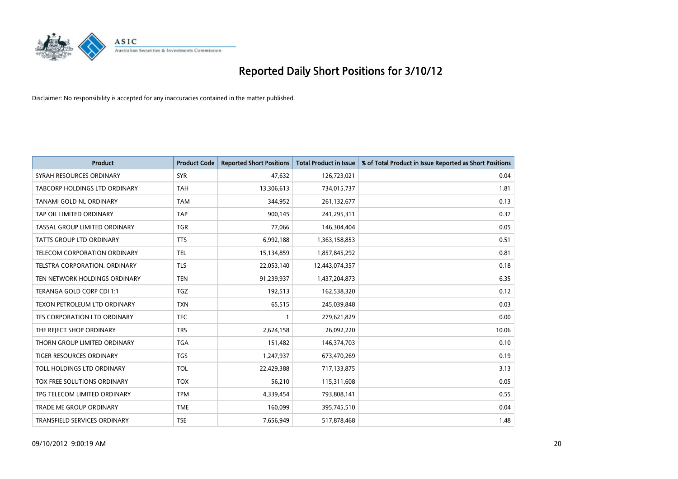

| <b>Product</b>                      | <b>Product Code</b> | <b>Reported Short Positions</b> | <b>Total Product in Issue</b> | % of Total Product in Issue Reported as Short Positions |
|-------------------------------------|---------------------|---------------------------------|-------------------------------|---------------------------------------------------------|
| SYRAH RESOURCES ORDINARY            | <b>SYR</b>          | 47,632                          | 126,723,021                   | 0.04                                                    |
| TABCORP HOLDINGS LTD ORDINARY       | <b>TAH</b>          | 13,306,613                      | 734,015,737                   | 1.81                                                    |
| TANAMI GOLD NL ORDINARY             | <b>TAM</b>          | 344,952                         | 261,132,677                   | 0.13                                                    |
| TAP OIL LIMITED ORDINARY            | <b>TAP</b>          | 900,145                         | 241,295,311                   | 0.37                                                    |
| TASSAL GROUP LIMITED ORDINARY       | <b>TGR</b>          | 77,066                          | 146,304,404                   | 0.05                                                    |
| TATTS GROUP LTD ORDINARY            | <b>TTS</b>          | 6,992,188                       | 1,363,158,853                 | 0.51                                                    |
| TELECOM CORPORATION ORDINARY        | <b>TEL</b>          | 15,134,859                      | 1,857,845,292                 | 0.81                                                    |
| TELSTRA CORPORATION, ORDINARY       | <b>TLS</b>          | 22,053,140                      | 12,443,074,357                | 0.18                                                    |
| TEN NETWORK HOLDINGS ORDINARY       | <b>TEN</b>          | 91,239,937                      | 1,437,204,873                 | 6.35                                                    |
| TERANGA GOLD CORP CDI 1:1           | <b>TGZ</b>          | 192,513                         | 162,538,320                   | 0.12                                                    |
| TEXON PETROLEUM LTD ORDINARY        | <b>TXN</b>          | 65,515                          | 245,039,848                   | 0.03                                                    |
| TFS CORPORATION LTD ORDINARY        | <b>TFC</b>          |                                 | 279,621,829                   | 0.00                                                    |
| THE REJECT SHOP ORDINARY            | <b>TRS</b>          | 2,624,158                       | 26,092,220                    | 10.06                                                   |
| THORN GROUP LIMITED ORDINARY        | <b>TGA</b>          | 151,482                         | 146,374,703                   | 0.10                                                    |
| TIGER RESOURCES ORDINARY            | <b>TGS</b>          | 1,247,937                       | 673,470,269                   | 0.19                                                    |
| TOLL HOLDINGS LTD ORDINARY          | <b>TOL</b>          | 22,429,388                      | 717,133,875                   | 3.13                                                    |
| TOX FREE SOLUTIONS ORDINARY         | <b>TOX</b>          | 56,210                          | 115,311,608                   | 0.05                                                    |
| TPG TELECOM LIMITED ORDINARY        | <b>TPM</b>          | 4,339,454                       | 793,808,141                   | 0.55                                                    |
| <b>TRADE ME GROUP ORDINARY</b>      | <b>TME</b>          | 160,099                         | 395,745,510                   | 0.04                                                    |
| <b>TRANSFIELD SERVICES ORDINARY</b> | <b>TSE</b>          | 7,656,949                       | 517,878,468                   | 1.48                                                    |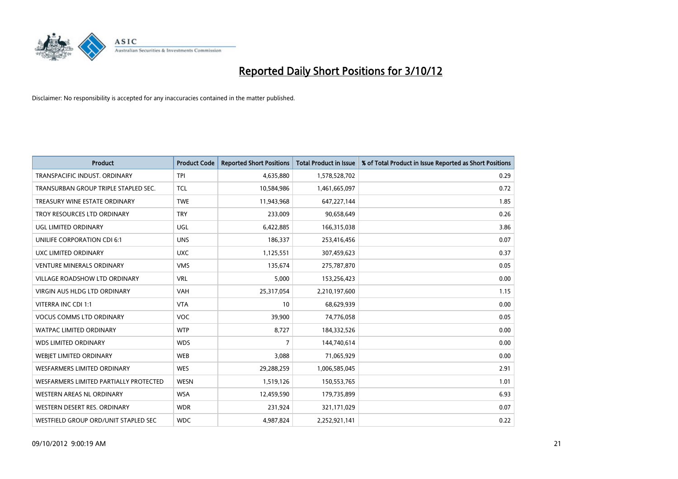

| <b>Product</b>                         | <b>Product Code</b> | <b>Reported Short Positions</b> | <b>Total Product in Issue</b> | % of Total Product in Issue Reported as Short Positions |
|----------------------------------------|---------------------|---------------------------------|-------------------------------|---------------------------------------------------------|
| TRANSPACIFIC INDUST, ORDINARY          | <b>TPI</b>          | 4,635,880                       | 1,578,528,702                 | 0.29                                                    |
| TRANSURBAN GROUP TRIPLE STAPLED SEC.   | <b>TCL</b>          | 10,584,986                      | 1,461,665,097                 | 0.72                                                    |
| TREASURY WINE ESTATE ORDINARY          | <b>TWE</b>          | 11,943,968                      | 647,227,144                   | 1.85                                                    |
| TROY RESOURCES LTD ORDINARY            | <b>TRY</b>          | 233,009                         | 90,658,649                    | 0.26                                                    |
| UGL LIMITED ORDINARY                   | UGL                 | 6,422,885                       | 166,315,038                   | 3.86                                                    |
| UNILIFE CORPORATION CDI 6:1            | <b>UNS</b>          | 186,337                         | 253,416,456                   | 0.07                                                    |
| UXC LIMITED ORDINARY                   | <b>UXC</b>          | 1,125,551                       | 307,459,623                   | 0.37                                                    |
| <b>VENTURE MINERALS ORDINARY</b>       | <b>VMS</b>          | 135,674                         | 275,787,870                   | 0.05                                                    |
| <b>VILLAGE ROADSHOW LTD ORDINARY</b>   | <b>VRL</b>          | 5,000                           | 153,256,423                   | 0.00                                                    |
| <b>VIRGIN AUS HLDG LTD ORDINARY</b>    | <b>VAH</b>          | 25,317,054                      | 2,210,197,600                 | 1.15                                                    |
| VITERRA INC CDI 1:1                    | <b>VTA</b>          | 10                              | 68,629,939                    | 0.00                                                    |
| <b>VOCUS COMMS LTD ORDINARY</b>        | <b>VOC</b>          | 39,900                          | 74,776,058                    | 0.05                                                    |
| WATPAC LIMITED ORDINARY                | <b>WTP</b>          | 8,727                           | 184,332,526                   | 0.00                                                    |
| <b>WDS LIMITED ORDINARY</b>            | <b>WDS</b>          | 7                               | 144,740,614                   | 0.00                                                    |
| <b>WEBJET LIMITED ORDINARY</b>         | <b>WEB</b>          | 3,088                           | 71,065,929                    | 0.00                                                    |
| WESFARMERS LIMITED ORDINARY            | <b>WES</b>          | 29,288,259                      | 1,006,585,045                 | 2.91                                                    |
| WESFARMERS LIMITED PARTIALLY PROTECTED | <b>WESN</b>         | 1,519,126                       | 150,553,765                   | 1.01                                                    |
| WESTERN AREAS NL ORDINARY              | <b>WSA</b>          | 12,459,590                      | 179,735,899                   | 6.93                                                    |
| WESTERN DESERT RES. ORDINARY           | <b>WDR</b>          | 231,924                         | 321,171,029                   | 0.07                                                    |
| WESTFIELD GROUP ORD/UNIT STAPLED SEC   | <b>WDC</b>          | 4,987,824                       | 2,252,921,141                 | 0.22                                                    |